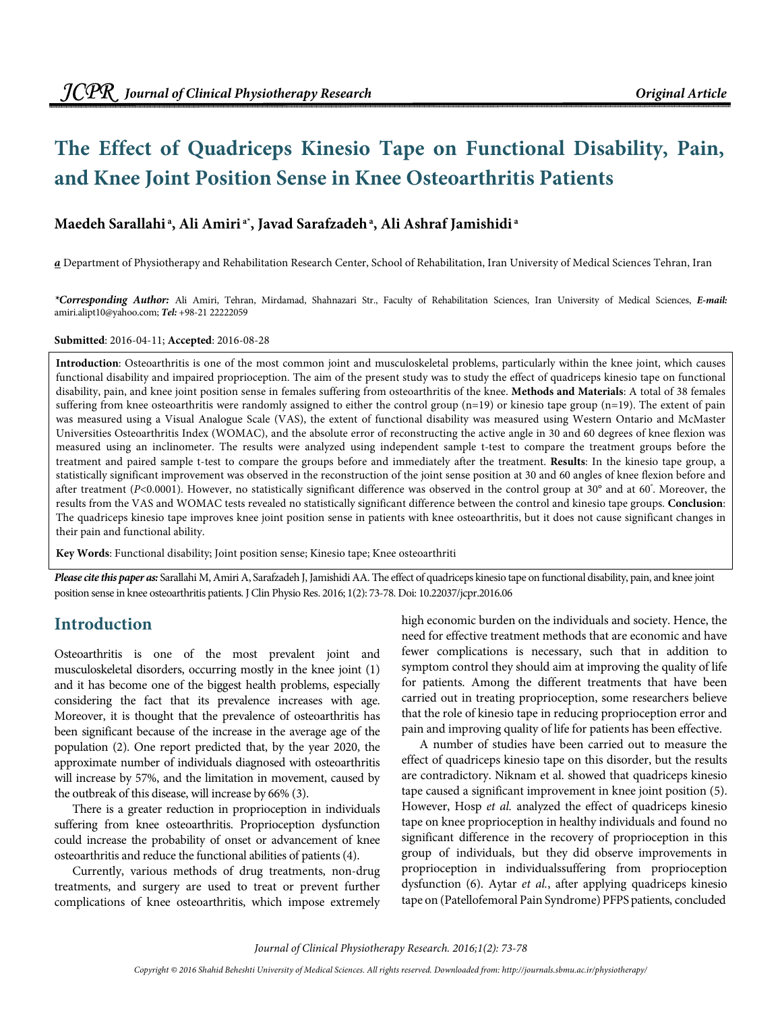# **The Effect of Quadriceps Kinesio Tape on Functional Disability, Pain, and Knee Joint Position Sense in Knee Osteoarthritis Patients**

### **Maedeh Sarallahi<sup>a</sup>, Ali Amiri a\*, Javad Sarafzadeh<sup>a</sup>, Ali Ashraf Jamishidi<sup>a</sup>**

**a** Department of Physiotherapy and Rehabilitation Research Center, School of Rehabilitation, Iran University of Medical Sciences Tehran, Iran

**\*Corresponding Author:** Ali Amiri, Tehran, Mirdamad, Shahnazari Str., Faculty of Rehabilitation Sciences, Iran University of Medical Sciences, **E-mail:** amiri.alipt10@yahoo.com; **Tel:** +98-21 22222059

**Submitted**: 2016-04-11; **Accepted**: 2016-08-28

**Introduction**: Osteoarthritis is one of the most common joint and musculoskeletal problems, particularly within the knee joint, which causes functional disability and impaired proprioception. The aim of the present study was to study the effect of quadriceps kinesio tape on functional disability, pain, and knee joint position sense in females suffering from osteoarthritis of the knee. **Methods and Materials**: A total of 38 females suffering from knee osteoarthritis were randomly assigned to either the control group (n=19) or kinesio tape group (n=19). The extent of pain was measured using a Visual Analogue Scale (VAS), the extent of functional disability was measured using Western Ontario and McMaster Universities Osteoarthritis Index (WOMAC), and the absolute error of reconstructing the active angle in 30 and 60 degrees of knee flexion was measured using an inclinometer. The results were analyzed using independent sample t-test to compare the treatment groups before the treatment and paired sample t-test to compare the groups before and immediately after the treatment. **Results**: In the kinesio tape group, a statistically significant improvement was observed in the reconstruction of the joint sense position at 30 and 60 angles of knee flexion before and after treatment (P<0.0001). However, no statistically significant difference was observed in the control group at 30° and at 60°. Moreover, the results from the VAS and WOMAC tests revealed no statistically significant difference between the control and kinesio tape groups. **Conclusion**: The quadriceps kinesio tape improves knee joint position sense in patients with knee osteoarthritis, but it does not cause significant changes in their pain and functional ability.

**Key Words**: Functional disability; Joint position sense; Kinesio tape; Knee osteoarthriti

**Please cite this paper as:** Sarallahi M, Amiri A, Sarafzadeh J, Jamishidi AA. The effect of quadriceps kinesio tape on functional disability, pain, and knee joint position sense in knee osteoarthritis patients. J Clin Physio Res. 2016; 1(2): 73-78. Doi: 10.22037/jcpr.2016.06

### **Introduction**

Osteoarthritis is one of the most prevalent joint and musculoskeletal disorders, occurring mostly in the knee joint (1) and it has become one of the biggest health problems, especially considering the fact that its prevalence increases with age. Moreover, it is thought that the prevalence of osteoarthritis has been significant because of the increase in the average age of the population (2). One report predicted that, by the year 2020, the approximate number of individuals diagnosed with osteoarthritis will increase by 57%, and the limitation in movement, caused by the outbreak of this disease, will increase by 66% (3).

There is a greater reduction in proprioception in individuals suffering from knee osteoarthritis. Proprioception dysfunction could increase the probability of onset or advancement of knee osteoarthritis and reduce the functional abilities of patients (4).

Currently, various methods of drug treatments, non-drug treatments, and surgery are used to treat or prevent further complications of knee osteoarthritis, which impose extremely high economic burden on the individuals and society. Hence, the need for effective treatment methods that are economic and have fewer complications is necessary, such that in addition to symptom control they should aim at improving the quality of life for patients. Among the different treatments that have been carried out in treating proprioception, some researchers believe that the role of kinesio tape in reducing proprioception error and pain and improving quality of life for patients has been effective.

A number of studies have been carried out to measure the effect of quadriceps kinesio tape on this disorder, but the results are contradictory. Niknam et al. showed that quadriceps kinesio tape caused a significant improvement in knee joint position (5). However, Hosp et al. analyzed the effect of quadriceps kinesio tape on knee proprioception in healthy individuals and found no significant difference in the recovery of proprioception in this group of individuals, but they did observe improvements in proprioception in individualssuffering from proprioception dysfunction (6). Aytar et al., after applying quadriceps kinesio tape on (Patellofemoral Pain Syndrome) PFPS patients, concluded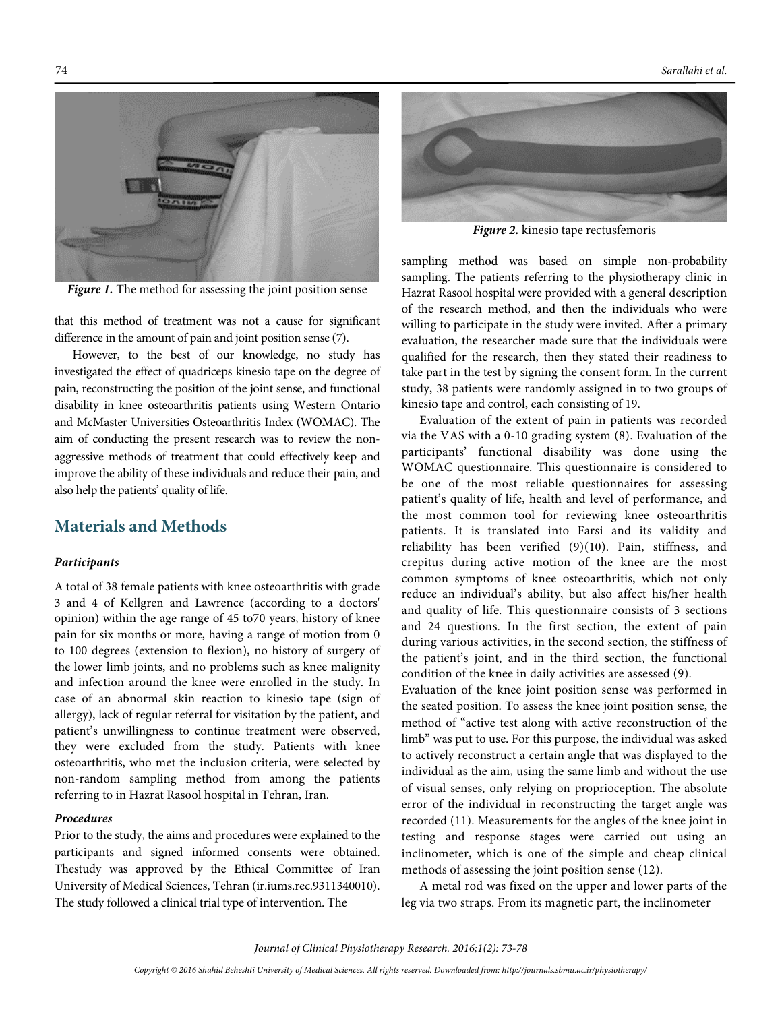

Figure 1. The method for assessing the joint position sense

that this method of treatment was not a cause for significant difference in the amount of pain and joint position sense (7).

However, to the best of our knowledge, no study has investigated the effect of quadriceps kinesio tape on the degree of pain, reconstructing the position of the joint sense, and functional disability in knee osteoarthritis patients using Western Ontario and McMaster Universities Osteoarthritis Index (WOMAC). The aim of conducting the present research was to review the nonaggressive methods of treatment that could effectively keep and improve the ability of these individuals and reduce their pain, and also help the patients' quality of life.

### **Materials and Methods**

#### **Participants**

A total of 38 female patients with knee osteoarthritis with grade 3 and 4 of Kellgren and Lawrence (according to a doctors' opinion) within the age range of 45 to70 years, history of knee pain for six months or more, having a range of motion from 0 to 100 degrees (extension to flexion), no history of surgery of the lower limb joints, and no problems such as knee malignity and infection around the knee were enrolled in the study. In case of an abnormal skin reaction to kinesio tape (sign of allergy), lack of regular referral for visitation by the patient, and patient's unwillingness to continue treatment were observed, they were excluded from the study. Patients with knee osteoarthritis, who met the inclusion criteria, were selected by non-random sampling method from among the patients referring to in Hazrat Rasool hospital in Tehran, Iran.

#### **Procedures**

Prior to the study, the aims and procedures were explained to the participants and signed informed consents were obtained. Thestudy was approved by the Ethical Committee of Iran University of Medical Sciences, Tehran (ir.iums.rec.9311340010). The study followed a clinical trial type of intervention. The



**Figure 2.** kinesio tape rectusfemoris

sampling method was based on simple non-probability sampling. The patients referring to the physiotherapy clinic in Hazrat Rasool hospital were provided with a general description of the research method, and then the individuals who were willing to participate in the study were invited. After a primary evaluation, the researcher made sure that the individuals were qualified for the research, then they stated their readiness to take part in the test by signing the consent form. In the current study, 38 patients were randomly assigned in to two groups of kinesio tape and control, each consisting of 19.

Evaluation of the extent of pain in patients was recorded via the VAS with a 0-10 grading system (8). Evaluation of the participants' functional disability was done using the WOMAC questionnaire. This questionnaire is considered to be one of the most reliable questionnaires for assessing patient's quality of life, health and level of performance, and the most common tool for reviewing knee osteoarthritis patients. It is translated into Farsi and its validity and reliability has been verified (9)(10). Pain, stiffness, and crepitus during active motion of the knee are the most common symptoms of knee osteoarthritis, which not only reduce an individual's ability, but also affect his/her health and quality of life. This questionnaire consists of 3 sections and 24 questions. In the first section, the extent of pain during various activities, in the second section, the stiffness of the patient's joint, and in the third section, the functional condition of the knee in daily activities are assessed (9).

Evaluation of the knee joint position sense was performed in the seated position. To assess the knee joint position sense, the method of "active test along with active reconstruction of the limb" was put to use. For this purpose, the individual was asked to actively reconstruct a certain angle that was displayed to the individual as the aim, using the same limb and without the use of visual senses, only relying on proprioception. The absolute error of the individual in reconstructing the target angle was recorded (11). Measurements for the angles of the knee joint in testing and response stages were carried out using an inclinometer, which is one of the simple and cheap clinical methods of assessing the joint position sense (12).

A metal rod was fixed on the upper and lower parts of the leg via two straps. From its magnetic part, the inclinometer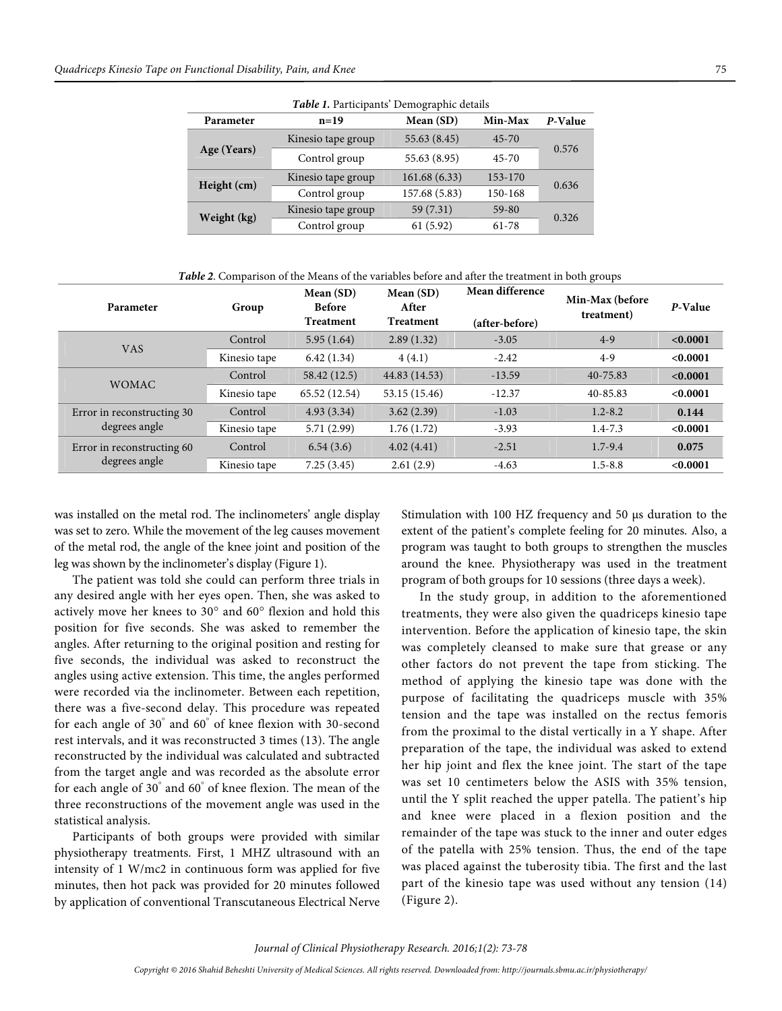| Table 1. Participants' Demographic details |                    |               |                    |         |  |  |  |  |  |
|--------------------------------------------|--------------------|---------------|--------------------|---------|--|--|--|--|--|
| Parameter                                  | $n = 19$           | Mean (SD)     | Min-Max            | P-Value |  |  |  |  |  |
| Age (Years)                                | Kinesio tape group | 55.63 (8.45)  | $45 - 70$          |         |  |  |  |  |  |
|                                            | Control group      | 55.63 (8.95)  | $45 - 70$          | 0.576   |  |  |  |  |  |
| Height (cm)                                | Kinesio tape group | 161.68(6.33)  | 153-170            | 0.636   |  |  |  |  |  |
|                                            | Control group      | 157.68 (5.83) | 150-168            |         |  |  |  |  |  |
| Weight (kg)                                | Kinesio tape group | 59 (7.31)     | $59 - 80$<br>0.326 |         |  |  |  |  |  |
|                                            | Control group      | 61(5.92)      | $61 - 78$          |         |  |  |  |  |  |

**Table 2**. Comparison of the Means of the variables before and after the treatment in both groups

| Parameter                                   | Group        | Mean(SD)<br><b>Before</b><br>Treatment | Mean (SD)<br>After<br><b>Treatment</b> | Mean difference<br>(after-before) | Min-Max (before<br>treatment) | P-Value  |
|---------------------------------------------|--------------|----------------------------------------|----------------------------------------|-----------------------------------|-------------------------------|----------|
| <b>VAS</b>                                  | Control      | 5.95(1.64)                             | 2.89(1.32)                             | $-3.05$                           | $4-9$                         | < 0.0001 |
|                                             | Kinesio tape | 6.42(1.34)                             | 4(4.1)                                 | $-2.42$                           | $4-9$                         | < 0.0001 |
| <b>WOMAC</b>                                | Control      | 58.42 (12.5)                           | 44.83 (14.53)                          | $-13.59$                          | 40-75.83                      | < 0.0001 |
|                                             | Kinesio tape | 65.52 (12.54)                          | 53.15 (15.46)                          | $-12.37$                          | 40-85.83                      | < 0.0001 |
| Error in reconstructing 30<br>degrees angle | Control      | 4.93(3.34)                             | 3.62(2.39)                             | $-1.03$                           | $1.2 - 8.2$                   | 0.144    |
|                                             | Kinesio tape | 5.71(2.99)                             | 1.76(1.72)                             | $-3.93$                           | $1.4 - 7.3$                   | < 0.0001 |
| Error in reconstructing 60<br>degrees angle | Control      | 6.54(3.6)                              | 4.02(4.41)                             | $-2.51$                           | $1.7 - 9.4$                   | 0.075    |
|                                             | Kinesio tape | 7.25(3.45)                             | 2.61(2.9)                              | $-4.63$                           | $1.5 - 8.8$                   | < 0.0001 |

was installed on the metal rod. The inclinometers' angle display was set to zero. While the movement of the leg causes movement of the metal rod, the angle of the knee joint and position of the leg was shown by the inclinometer's display (Figure 1).

The patient was told she could can perform three trials in any desired angle with her eyes open. Then, she was asked to actively move her knees to 30° and 60° flexion and hold this position for five seconds. She was asked to remember the angles. After returning to the original position and resting for five seconds, the individual was asked to reconstruct the angles using active extension. This time, the angles performed were recorded via the inclinometer. Between each repetition, there was a five-second delay. This procedure was repeated for each angle of 30° and 60° of knee flexion with 30-second rest intervals, and it was reconstructed 3 times (13). The angle reconstructed by the individual was calculated and subtracted from the target angle and was recorded as the absolute error for each angle of 30° and 60° of knee flexion. The mean of the three reconstructions of the movement angle was used in the statistical analysis.

Participants of both groups were provided with similar physiotherapy treatments. First, 1 MHZ ultrasound with an intensity of 1 W/mc2 in continuous form was applied for five minutes, then hot pack was provided for 20 minutes followed by application of conventional Transcutaneous Electrical Nerve Stimulation with 100 HZ frequency and 50 µs duration to the extent of the patient's complete feeling for 20 minutes. Also, a program was taught to both groups to strengthen the muscles around the knee. Physiotherapy was used in the treatment program of both groups for 10 sessions (three days a week).

In the study group, in addition to the aforementioned treatments, they were also given the quadriceps kinesio tape intervention. Before the application of kinesio tape, the skin was completely cleansed to make sure that grease or any other factors do not prevent the tape from sticking. The method of applying the kinesio tape was done with the purpose of facilitating the quadriceps muscle with 35% tension and the tape was installed on the rectus femoris from the proximal to the distal vertically in a Y shape. After preparation of the tape, the individual was asked to extend her hip joint and flex the knee joint. The start of the tape was set 10 centimeters below the ASIS with 35% tension, until the Y split reached the upper patella. The patient's hip and knee were placed in a flexion position and the remainder of the tape was stuck to the inner and outer edges of the patella with 25% tension. Thus, the end of the tape was placed against the tuberosity tibia. The first and the last part of the kinesio tape was used without any tension (14) (Figure 2).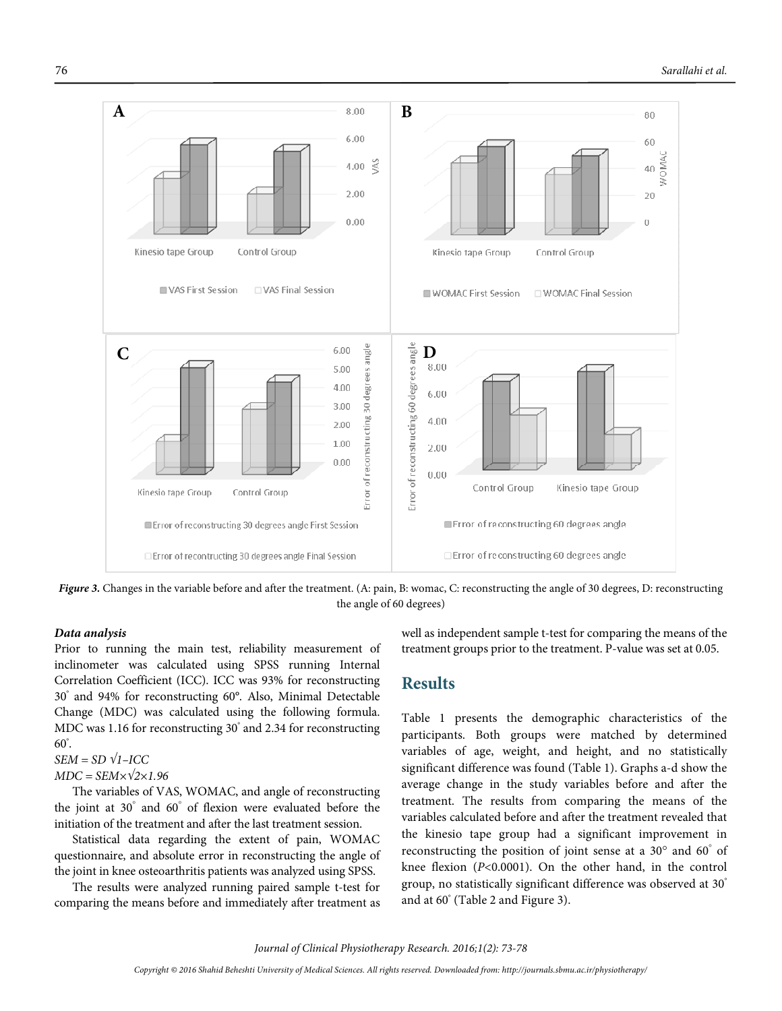

Figure 3. Changes in the variable before and after the treatment. (A: pain, B: womac, C: reconstructing the angle of 30 degrees, D: reconstructing the angle of 60 degrees)

#### **Data analysis**

Prior to running the main test, reliability measurement of inclinometer was calculated using SPSS running Internal Correlation Coefficient (ICC). ICC was 93% for reconstructing 30° and 94% for reconstructing 60°. Also, Minimal Detectable Change (MDC) was calculated using the following formula. MDC was 1.16 for reconstructing 30° and 2.34 for reconstructing  $60^{\circ}$ .

$$
SEM = SD \sqrt{1-ICC}
$$

$$
MDC = SEM \times \sqrt{2} \times 1.96
$$

The variables of VAS, WOMAC, and angle of reconstructing the joint at 30° and 60° of flexion were evaluated before the initiation of the treatment and after the last treatment session.

Statistical data regarding the extent of pain, WOMAC questionnaire, and absolute error in reconstructing the angle of the joint in knee osteoarthritis patients was analyzed using SPSS.

The results were analyzed running paired sample t-test for comparing the means before and immediately after treatment as

well as independent sample t-test for comparing the means of the treatment groups prior to the treatment. P-value was set at 0.05.

### **Results**

Table 1 presents the demographic characteristics of the participants. Both groups were matched by determined variables of age, weight, and height, and no statistically significant difference was found (Table 1). Graphs a-d show the average change in the study variables before and after the treatment. The results from comparing the means of the variables calculated before and after the treatment revealed that the kinesio tape group had a significant improvement in reconstructing the position of joint sense at a 30° and 60° of knee flexion (P<0.0001). On the other hand, in the control group, no statistically significant difference was observed at 30° and at 60° (Table 2 and Figure 3).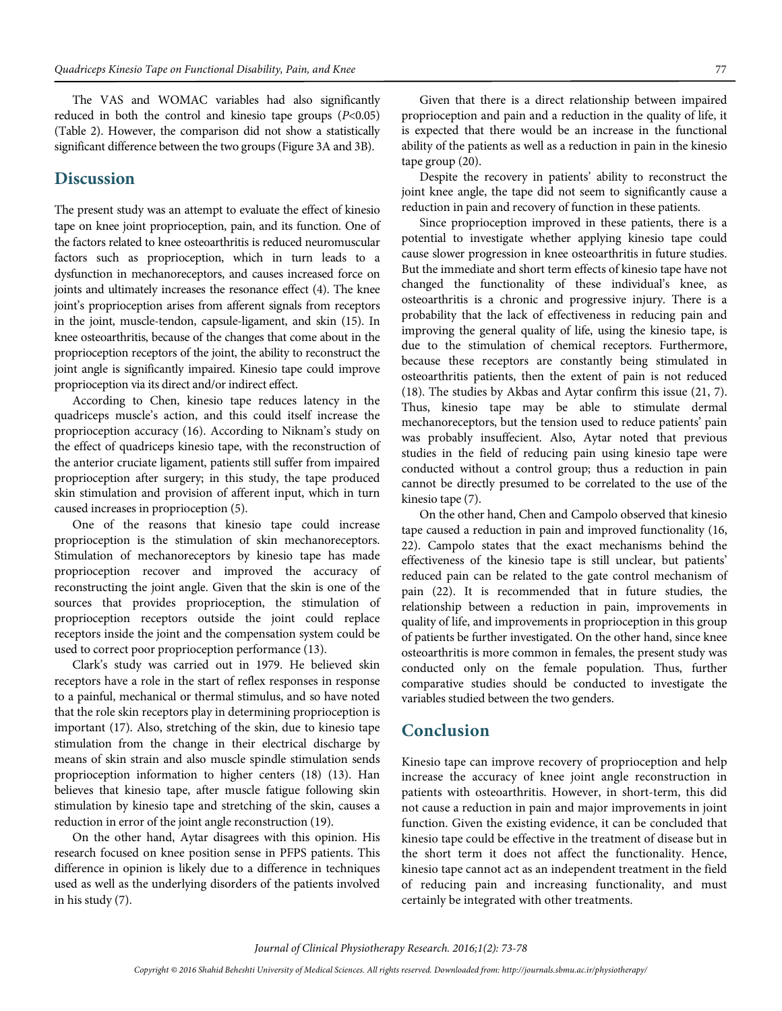The VAS and WOMAC variables had also significantly reduced in both the control and kinesio tape groups  $(P<0.05)$ (Table 2). However, the comparison did not show a statistically significant difference between the two groups (Figure 3A and 3B).

### **Discussion**

The present study was an attempt to evaluate the effect of kinesio tape on knee joint proprioception, pain, and its function. One of the factors related to knee osteoarthritis is reduced neuromuscular factors such as proprioception, which in turn leads to a dysfunction in mechanoreceptors, and causes increased force on joints and ultimately increases the resonance effect (4). The knee joint's proprioception arises from afferent signals from receptors in the joint, muscle-tendon, capsule-ligament, and skin (15). In knee osteoarthritis, because of the changes that come about in the proprioception receptors of the joint, the ability to reconstruct the joint angle is significantly impaired. Kinesio tape could improve proprioception via its direct and/or indirect effect.

According to Chen, kinesio tape reduces latency in the quadriceps muscle's action, and this could itself increase the proprioception accuracy (16). According to Niknam's study on the effect of quadriceps kinesio tape, with the reconstruction of the anterior cruciate ligament, patients still suffer from impaired proprioception after surgery; in this study, the tape produced skin stimulation and provision of afferent input, which in turn caused increases in proprioception (5).

One of the reasons that kinesio tape could increase proprioception is the stimulation of skin mechanoreceptors. Stimulation of mechanoreceptors by kinesio tape has made proprioception recover and improved the accuracy of reconstructing the joint angle. Given that the skin is one of the sources that provides proprioception, the stimulation of proprioception receptors outside the joint could replace receptors inside the joint and the compensation system could be used to correct poor proprioception performance (13).

Clark's study was carried out in 1979. He believed skin receptors have a role in the start of reflex responses in response to a painful, mechanical or thermal stimulus, and so have noted that the role skin receptors play in determining proprioception is important (17). Also, stretching of the skin, due to kinesio tape stimulation from the change in their electrical discharge by means of skin strain and also muscle spindle stimulation sends proprioception information to higher centers (18) (13). Han believes that kinesio tape, after muscle fatigue following skin stimulation by kinesio tape and stretching of the skin, causes a reduction in error of the joint angle reconstruction (19).

On the other hand, Aytar disagrees with this opinion. His research focused on knee position sense in PFPS patients. This difference in opinion is likely due to a difference in techniques used as well as the underlying disorders of the patients involved in his study (7).

Given that there is a direct relationship between impaired proprioception and pain and a reduction in the quality of life, it is expected that there would be an increase in the functional ability of the patients as well as a reduction in pain in the kinesio tape group (20).

Despite the recovery in patients' ability to reconstruct the joint knee angle, the tape did not seem to significantly cause a reduction in pain and recovery of function in these patients.

Since proprioception improved in these patients, there is a potential to investigate whether applying kinesio tape could cause slower progression in knee osteoarthritis in future studies. But the immediate and short term effects of kinesio tape have not changed the functionality of these individual's knee, as osteoarthritis is a chronic and progressive injury. There is a probability that the lack of effectiveness in reducing pain and improving the general quality of life, using the kinesio tape, is due to the stimulation of chemical receptors. Furthermore, because these receptors are constantly being stimulated in osteoarthritis patients, then the extent of pain is not reduced (18). The studies by Akbas and Aytar confirm this issue (21, 7). Thus, kinesio tape may be able to stimulate dermal mechanoreceptors, but the tension used to reduce patients' pain was probably insuffecient. Also, Aytar noted that previous studies in the field of reducing pain using kinesio tape were conducted without a control group; thus a reduction in pain cannot be directly presumed to be correlated to the use of the kinesio tape (7).

On the other hand, Chen and Campolo observed that kinesio tape caused a reduction in pain and improved functionality (16, 22). Campolo states that the exact mechanisms behind the effectiveness of the kinesio tape is still unclear, but patients' reduced pain can be related to the gate control mechanism of pain (22). It is recommended that in future studies, the relationship between a reduction in pain, improvements in quality of life, and improvements in proprioception in this group of patients be further investigated. On the other hand, since knee osteoarthritis is more common in females, the present study was conducted only on the female population. Thus, further comparative studies should be conducted to investigate the variables studied between the two genders.

### **Conclusion**

Kinesio tape can improve recovery of proprioception and help increase the accuracy of knee joint angle reconstruction in patients with osteoarthritis. However, in short-term, this did not cause a reduction in pain and major improvements in joint function. Given the existing evidence, it can be concluded that kinesio tape could be effective in the treatment of disease but in the short term it does not affect the functionality. Hence, kinesio tape cannot act as an independent treatment in the field of reducing pain and increasing functionality, and must certainly be integrated with other treatments.